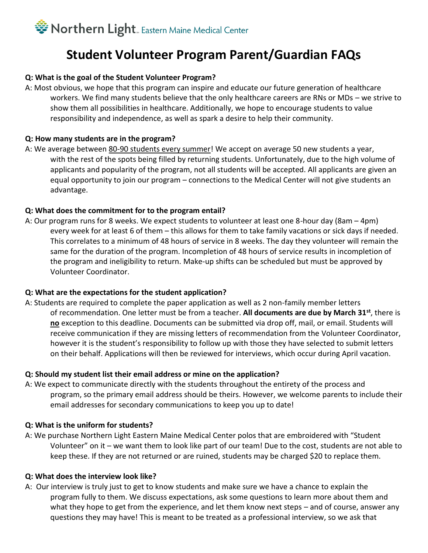## Sorthern Light. Eastern Maine Medical Center

### **Student Volunteer Program Parent/Guardian FAQs**

#### **Q: What is the goal of the Student Volunteer Program?**

A: Most obvious, we hope that this program can inspire and educate our future generation of healthcare workers. We find many students believe that the only healthcare careers are RNs or MDs – we strive to show them all possibilities in healthcare. Additionally, we hope to encourage students to value responsibility and independence, as well as spark a desire to help their community.

#### **Q: How many students are in the program?**

A: We average between 80-90 students every summer! We accept on average 50 new students a year, with the rest of the spots being filled by returning students. Unfortunately, due to the high volume of applicants and popularity of the program, not all students will be accepted. All applicants are given an equal opportunity to join our program – connections to the Medical Center will not give students an advantage.

#### **Q: What does the commitment for to the program entail?**

A: Our program runs for 8 weeks. We expect students to volunteer at least one 8-hour day (8am – 4pm) every week for at least 6 of them – this allows for them to take family vacations or sick days if needed. This correlates to a minimum of 48 hours of service in 8 weeks. The day they volunteer will remain the same for the duration of the program. Incompletion of 48 hours of service results in incompletion of the program and ineligibility to return. Make-up shifts can be scheduled but must be approved by Volunteer Coordinator.

#### **Q: What are the expectations for the student application?**

A: Students are required to complete the paper application as well as 2 non-family member letters of recommendation. One letter must be from a teacher. **All documents are due by March 31st**, there is **no** exception to this deadline. Documents can be submitted via drop off, mail, or email. Students will receive communication if they are missing letters of recommendation from the Volunteer Coordinator, however it is the student's responsibility to follow up with those they have selected to submit letters on their behalf. Applications will then be reviewed for interviews, which occur during April vacation.

#### **Q: Should my student list their email address or mine on the application?**

A: We expect to communicate directly with the students throughout the entirety of the process and program, so the primary email address should be theirs. However, we welcome parents to include their email addresses for secondary communications to keep you up to date!

#### **Q: What is the uniform for students?**

A: We purchase Northern Light Eastern Maine Medical Center polos that are embroidered with "Student Volunteer" on it – we want them to look like part of our team! Due to the cost, students are not able to keep these. If they are not returned or are ruined, students may be charged \$20 to replace them.

#### **Q: What does the interview look like?**

A: Our interview is truly just to get to know students and make sure we have a chance to explain the program fully to them. We discuss expectations, ask some questions to learn more about them and what they hope to get from the experience, and let them know next steps – and of course, answer any questions they may have! This is meant to be treated as a professional interview, so we ask that